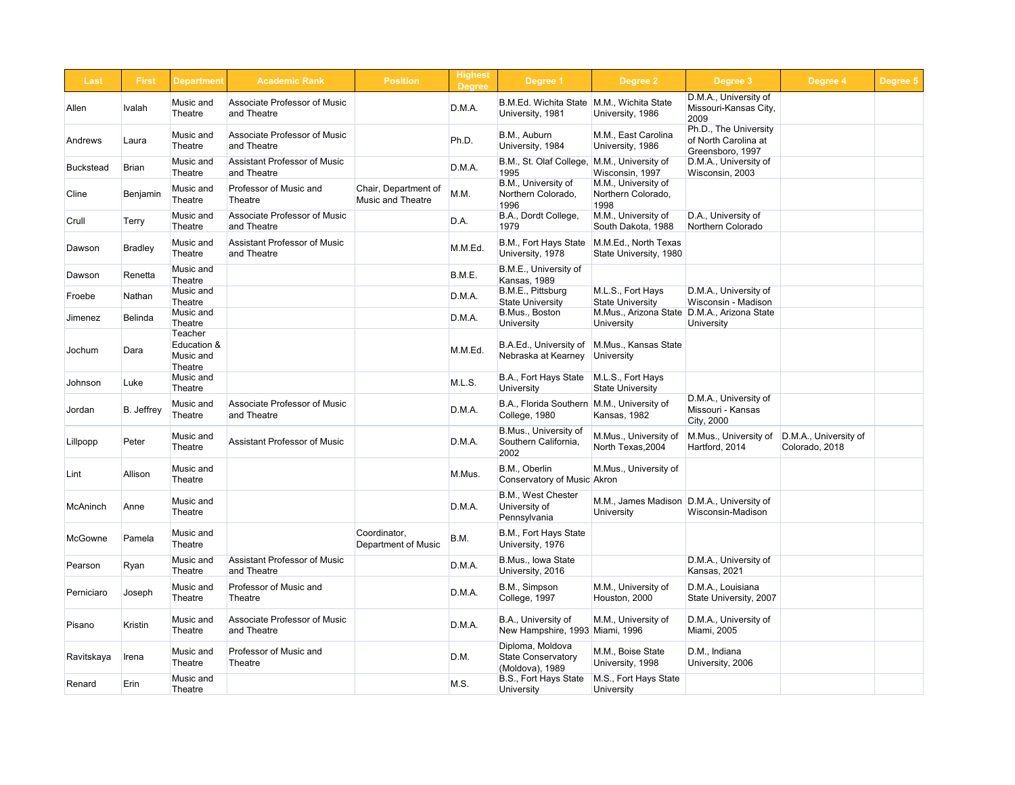| <b>Highest</b><br><b>Degree</b> | Degree 1                                                         | <b>Degree 2</b>                                   | Degree 3                                                          | Degree 4                                | Degree 5 |  |
|---------------------------------|------------------------------------------------------------------|---------------------------------------------------|-------------------------------------------------------------------|-----------------------------------------|----------|--|
| .M.A.                           | <b>B.M.Ed. Wichita State</b><br>University, 1981                 | M.M., Wichita State<br>University, 1986           | D.M.A., University of<br>Missouri-Kansas City,<br>2009            |                                         |          |  |
| h.D.                            | B.M., Auburn<br>University, 1984                                 | M.M., East Carolina<br>University, 1986           | Ph.D., The University<br>of North Carolina at<br>Greensboro, 1997 |                                         |          |  |
| .M.A.                           | B.M., St. Olaf College,<br>1995                                  | M.M., University of<br>Wisconsin, 1997            | D.M.A., University of<br>Wisconsin, 2003                          |                                         |          |  |
| .M.                             | B.M., University of<br>Northern Colorado,<br>1996                | M.M., University of<br>Northern Colorado,<br>1998 |                                                                   |                                         |          |  |
| .A.                             | B.A., Dordt College,<br>1979                                     | M.M., University of<br>South Dakota, 1988         | D.A., University of<br><b>Northern Colorado</b>                   |                                         |          |  |
| .M.Ed.                          | B.M., Fort Hays State<br>University, 1978                        | M.M.Ed., North Texas<br>State University, 1980    |                                                                   |                                         |          |  |
| M.E.                            | B.M.E., University of<br>Kansas, 1989                            |                                                   |                                                                   |                                         |          |  |
| M.A.                            | B.M.E., Pittsburg<br><b>State University</b>                     | M.L.S., Fort Hays<br><b>State University</b>      | D.M.A., University of<br>Wisconsin - Madison                      |                                         |          |  |
| M.A.                            | B.Mus., Boston<br><b>University</b>                              | M.Mus., Arizona State<br>University               | D.M.A., Arizona State<br>University                               |                                         |          |  |
| .M.Ed.                          | B.A.Ed., University of<br>Nebraska at Kearney                    | M.Mus., Kansas State<br>University                |                                                                   |                                         |          |  |
| L.S.                            | B.A., Fort Hays State<br>University                              | M.L.S., Fort Hays<br><b>State University</b>      |                                                                   |                                         |          |  |
| M.A.                            | B.A., Florida Southern   M.M., University of<br>College, 1980    | Kansas, 1982                                      | D.M.A., University of<br>Missouri - Kansas<br>City, 2000          |                                         |          |  |
| M.A.                            | B.Mus., University of<br>Southern California,<br>2002            | M.Mus., University of<br>North Texas, 2004        | M.Mus., University of<br>Hartford, 2014                           | D.M.A., University of<br>Colorado, 2018 |          |  |
| .Mus.                           | B.M., Oberlin<br>Conservatory of Music Akron                     | M.Mus., University of                             |                                                                   |                                         |          |  |
| .M.A.                           | B.M., West Chester<br>University of<br>Pennsylvania              | M.M., James Madison<br><b>University</b>          | D.M.A., University of<br>Wisconsin-Madison                        |                                         |          |  |
| М.                              | B.M., Fort Hays State<br>University, 1976                        |                                                   |                                                                   |                                         |          |  |
| M.A.                            | B.Mus., Iowa State<br>University, 2016                           |                                                   | D.M.A., University of<br>Kansas, 2021                             |                                         |          |  |
| .M.A.                           | B.M., Simpson<br>College, 1997                                   | M.M., University of<br>Houston, 2000              | D.M.A., Louisiana<br>State University, 2007                       |                                         |          |  |
| .M.A.                           | B.A., University of<br>New Hampshire, 1993                       | M.M., University of<br>Miami, 1996                | D.M.A., University of<br><b>Miami, 2005</b>                       |                                         |          |  |
| М.                              | Diploma, Moldova<br><b>State Conservatory</b><br>(Moldova), 1989 | M.M., Boise State<br>University, 1998             | D.M., Indiana<br>University, 2006                                 |                                         |          |  |
| .S.                             | B.S., Fort Hays State<br><b>University</b>                       | M.S., Fort Hays State<br><b>University</b>        |                                                                   |                                         |          |  |

| Last             | <b>First</b>   | <b>Department</b>                                            | <b>Academic Rank</b>                               | <b>Position</b>                                  | <b>Highest</b><br><b>Degree</b> | Degree 1                                                         | Degree <sub>2</sub>                               |
|------------------|----------------|--------------------------------------------------------------|----------------------------------------------------|--------------------------------------------------|---------------------------------|------------------------------------------------------------------|---------------------------------------------------|
| Allen            | <b>Ivalah</b>  | Music and<br><b>Theatre</b>                                  | <b>Associate Professor of Music</b><br>and Theatre |                                                  | D.M.A.                          | <b>B.M.Ed. Wichita State</b><br>University, 1981                 | M.M., Wichita State<br>University, 1986           |
| Andrews          | Laura          | Music and<br><b>Theatre</b>                                  | <b>Associate Professor of Music</b><br>and Theatre |                                                  | Ph.D.                           | B.M., Auburn<br>University, 1984                                 | M.M., East Carolina<br>University, 1986           |
| <b>Buckstead</b> | <b>Brian</b>   | Music and<br><b>Theatre</b>                                  | <b>Assistant Professor of Music</b><br>and Theatre |                                                  | D.M.A.                          | B.M., St. Olaf College,<br>1995                                  | M.M., University of<br>Wisconsin, 1997            |
| Cline            | Benjamin       | Music and<br>Theatre                                         | Professor of Music and<br>Theatre                  | Chair, Department of<br><b>Music and Theatre</b> | M.M.                            | B.M., University of<br>Northern Colorado,<br>1996                | M.M., University of<br>Northern Colorado,<br>1998 |
| Crull            | Terry          | Music and<br><b>Theatre</b>                                  | <b>Associate Professor of Music</b><br>and Theatre |                                                  | D.A.                            | B.A., Dordt College,<br>1979                                     | M.M., University of<br>South Dakota, 1988         |
| Dawson           | <b>Bradley</b> | Music and<br><b>Theatre</b>                                  | <b>Assistant Professor of Music</b><br>and Theatre |                                                  | M.M.Ed.                         | B.M., Fort Hays State<br>University, 1978                        | M.M.Ed., North Texas<br>State University, 1980    |
| Dawson           | Renetta        | Music and<br><b>Theatre</b>                                  |                                                    |                                                  | B.M.E.                          | B.M.E., University of<br>Kansas, 1989                            |                                                   |
| Froebe           | Nathan         | Music and<br><b>Theatre</b>                                  |                                                    |                                                  | D.M.A.                          | B.M.E., Pittsburg<br><b>State University</b>                     | M.L.S., Fort Hays<br><b>State University</b>      |
| Jimenez          | <b>Belinda</b> | Music and<br><b>Theatre</b>                                  |                                                    |                                                  | D.M.A.                          | B.Mus., Boston<br><b>University</b>                              | M.Mus., Arizona State<br><b>University</b>        |
| Jochum           | Dara           | <b>Teacher</b><br>Education &<br>Music and<br><b>Theatre</b> |                                                    |                                                  | M.M.Ed.                         | B.A.Ed., University of<br>Nebraska at Kearney                    | M.Mus., Kansas State<br>University                |
| Johnson          | Luke           | <b>Music and</b><br><b>Theatre</b>                           |                                                    |                                                  | M.L.S.                          | B.A., Fort Hays State<br><b>University</b>                       | M.L.S., Fort Hays<br><b>State University</b>      |
| Jordan           | B. Jeffrey     | Music and<br><b>Theatre</b>                                  | <b>Associate Professor of Music</b><br>and Theatre |                                                  | D.M.A.                          | B.A., Florida Southern   M.M., University of<br>College, 1980    | Kansas, 1982                                      |
| Lillpopp         | Peter          | Music and<br>Theatre                                         | <b>Assistant Professor of Music</b>                |                                                  | D.M.A.                          | B.Mus., University of<br>Southern California,<br>2002            | M.Mus., University of<br>North Texas, 2004        |
| Lint             | Allison        | Music and<br><b>Theatre</b>                                  |                                                    |                                                  | M.Mus.                          | B.M., Oberlin<br>Conservatory of Music Akron                     | M.Mus., University of                             |
| <b>McAninch</b>  | Anne           | Music and<br>Theatre                                         |                                                    |                                                  | D.M.A.                          | B.M., West Chester<br>University of<br>Pennsylvania              | M.M., James Madison<br><b>University</b>          |
| <b>McGowne</b>   | Pamela         | Music and<br><b>Theatre</b>                                  |                                                    | Coordinator,<br><b>Department of Music</b>       | B.M.                            | B.M., Fort Hays State<br>University, 1976                        |                                                   |
| Pearson          | Ryan           | Music and<br>Theatre                                         | <b>Assistant Professor of Music</b><br>and Theatre |                                                  | D.M.A.                          | B.Mus., Iowa State<br>University, 2016                           |                                                   |
| Perniciaro       | Joseph         | Music and<br><b>Theatre</b>                                  | Professor of Music and<br>Theatre                  |                                                  | D.M.A.                          | B.M., Simpson<br>College, 1997                                   | M.M., University of<br>Houston, 2000              |
| Pisano           | <b>Kristin</b> | Music and<br>Theatre                                         | Associate Professor of Music<br>and Theatre        |                                                  | D.M.A.                          | B.A., University of<br>New Hampshire, 1993 Miami, 1996           | M.M., University of                               |
| Ravitskaya       | Irena          | Music and<br><b>Theatre</b>                                  | Professor of Music and<br><b>Theatre</b>           |                                                  | D.M.                            | Diploma, Moldova<br><b>State Conservatory</b><br>(Moldova), 1989 | M.M., Boise State<br>University, 1998             |
| Renard           | Erin           | Music and<br><b>Theatre</b>                                  |                                                    |                                                  | M.S.                            | B.S., Fort Hays State<br><b>University</b>                       | M.S., Fort Hays State<br><b>University</b>        |